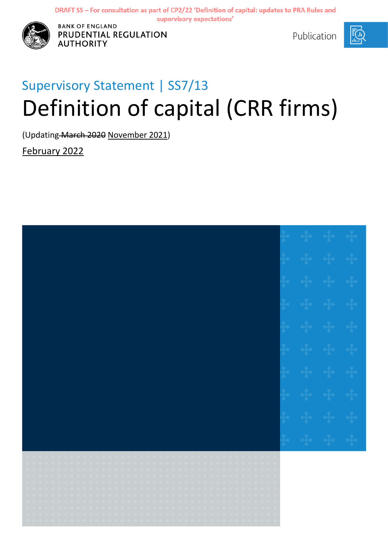

**DRANK OF ENGLAND<br>
<b>PRUDENTIAL REGULATION** And Supervisory **Publication AUTHORITY** 

# Supervisory Statement | SS7/13 Definition of capital (CRR firms)

(Updating March 2020 November 2021)

February 2022

| + + + + +<br>+ + + + +<br>* * * * * * * * * * * * *<br>$\begin{array}{cccccccccc} \bullet & \bullet & \bullet & \bullet & \bullet & \bullet & \bullet \end{array}$<br>$\label{eq:3.1} \begin{array}{ll} \mathbb{E}[\mathbb{E}[\mathbb{E}[\mathbb{E}[\mathbb{E}[\mathbb{E}[\mathbb{E}[\mathbb{E}[\mathbb{E}[\mathbb{E}[\mathbb{E}[\mathbb{E}[\mathbb{E}[\mathbb{E}[\mathbb{E}[\mathbb{E}[\mathbb{E}[\mathbb{E}[\mathbb{E}[\mathbb{E}[\mathbb{E}[\mathbb{E}[\mathbb{E}[\mathbb{E}[\mathbb{E}[\mathbb{E}[\mathbb{E}[\mathbb{E}[\mathbb{E}[\mathbb{E}[\mathbb{E}[\mathbb{E}[\mathbb{E}[\mathbb{E}$                                                                                                                                                                                                                                                                                                                                                                                                                                                                                                                                                                                                                                                                                                                                                                                                                                                                                                                                                                                                                                                                                                                                                                                                                                                                                                                                                                                                                                                                                                                                                                       |  |
|----------------------------------------------------------------------------------------------------------------------------------------------------------------------------------------------------------------------------------------------------------------------------------------------------------------------------------------------------------------------------------------------------------------------------------------------------------------------------------------------------------------------------------------------------------------------------------------------------------------------------------------------------------------------------------------------------------------------------------------------------------------------------------------------------------------------------------------------------------------------------------------------------------------------------------------------------------------------------------------------------------------------------------------------------------------------------------------------------------------------------------------------------------------------------------------------------------------------------------------------------------------------------------------------------------------------------------------------------------------------------------------------------------------------------------------------------------------------------------------------------------------------------------------------------------------------------------------------------------------------------------------------------------------------------------------------------------------------------------------------------------------------------------------------------------------------------------------------------------------------------------------------------------------------------------------------------------------------------------------------------------------------------------------------------------------------------------------------------------------------------------------------------------------------|--|
| $\begin{aligned} \mathcal{L}_{\mathcal{A}}(\mathcal{A}_{\mathcal{B}}) = \mathcal{L}_{\mathcal{B}}(\mathcal{A}_{\mathcal{B}}) = \mathcal{L}_{\mathcal{B}}(\mathcal{A}_{\mathcal{B}}) \end{aligned}$<br>$\begin{aligned} \mathbf{e} & \quad \mathbf{e}\mathbf{p} + \mathbf{e}\mathbf{p} + \mathbf{e}\mathbf{p} + \mathbf{e}\mathbf{p} \end{aligned}$<br>+ + + + + +<br>$\sim$ $\frac{1}{2}$ , $\frac{1}{2}$ , $\frac{1}{2}$ , $\frac{1}{2}$ , $\frac{1}{2}$<br>$\label{eq:3.1} \begin{array}{ll} \mathbb{E}\left[\left(\frac{1}{2}\right) \right] & \mathbb{E}\left[\left(\frac{1}{2}\right) \right] & \mathbb{E}\left[\left(\frac{1}{2}\right) \right] & \mathbb{E}\left[\left(\frac{1}{2}\right) \right] \end{array}$<br>$\begin{aligned} \mathcal{L}_{\mathcal{A}}(\mathcal{A}_{\mathcal{B}}) = & \mathcal{L}_{\mathcal{B}}(\mathcal{A}_{\mathcal{B}}) = & \mathcal{L}_{\mathcal{B}}(\mathcal{A}_{\mathcal{B}}) = & \mathcal{L}_{\mathcal{B}}(\mathcal{A}_{\mathcal{B}}) = & \mathcal{L}_{\mathcal{B}}(\mathcal{A}_{\mathcal{B}}) = & \mathcal{L}_{\mathcal{B}}(\mathcal{A}_{\mathcal{B}}) = & \mathcal{L}_{\mathcal{B}}(\mathcal{A}_{\mathcal{B}}) = & \mathcal{L}_{\mathcal{B}}(\mathcal{A}_{\mathcal{B}}) =$<br>$\begin{array}{cccccccccccccc} +&+&+&+&+&+ \end{array}$<br>***************<br>$\frac{1}{2}$ , $\frac{1}{2}$ , $\frac{1}{2}$ , $\frac{1}{2}$<br>e e e<br>$\sim$ and $\sim$ and $\sim$ and $\sim$<br>$\begin{array}{ccccccccccccc} \bullet & \bullet & \bullet & \bullet & \bullet & \bullet & \bullet & \bullet \end{array}$<br>$\label{eq:3.1} -\frac{1}{2} \left(-\frac{1}{2} \left(-\frac{1}{2} \left(-\frac{1}{2} \left(-\frac{1}{2} \left(-\frac{1}{2} \right) -\frac{1}{2} \right)\right)\right)\right)$<br>$\langle \Phi \rangle \langle \Phi \rangle \langle \Phi \rangle \langle \Phi \rangle \langle \Phi \rangle \langle \Phi \rangle \langle \Phi \rangle \langle \Phi \rangle \langle \Phi \rangle \langle \Phi \rangle \langle \Phi \rangle \langle \Phi \rangle \langle \Phi \rangle \langle \Phi \rangle$<br>$\label{eq:3.1} \begin{array}{lllllllllllllllllll} \alpha_1 & \alpha_2 & \alpha_3 & \alpha_4 & \alpha_5 \end{array}$ |  |
| $\left\langle \left( \frac{1}{2} \hat{a} - \frac{1}{2} \hat{a} - \frac{1}{2} \hat{a} \right) \right\rangle$<br>$\langle \Phi \rangle/\langle \Phi \rangle/\langle \Phi \rangle/\langle \Phi \rangle$<br>والمهامة والمراد<br>$\epsilon$ of the density $\epsilon$<br>$\langle \Phi_{\pm} \Phi_{\pm} \Phi_{\pm} \Phi_{\pm} \Phi_{\pm} \Phi_{\pm} \Phi_{\pm} \Phi_{\pm} \Phi_{\pm} \Phi_{\pm} \Phi_{\pm} \Phi_{\pm} \Phi_{\pm} \Phi_{\pm} \rangle$<br>$\epsilon$ -decode (decode)<br>$\frac{1}{2}$ or $\frac{1}{2}$ or $\frac{1}{2}$ or $\frac{1}{2}$<br>$\langle \Phi \rangle \langle \Phi \rangle \langle \Phi \rangle \langle \Phi \rangle \langle \Phi \rangle \langle \Phi \rangle \langle \Phi \rangle \langle \Phi \rangle \langle \Phi \rangle \langle \Phi \rangle \langle \Phi \rangle \langle \Phi \rangle$                                                                                                                                                                                                                                                                                                                                                                                                                                                                                                                                                                                                                                                                                                                                                                                                                                                                                                                                                                                                                                                                                                                                                                                                                                                                                                                                                  |  |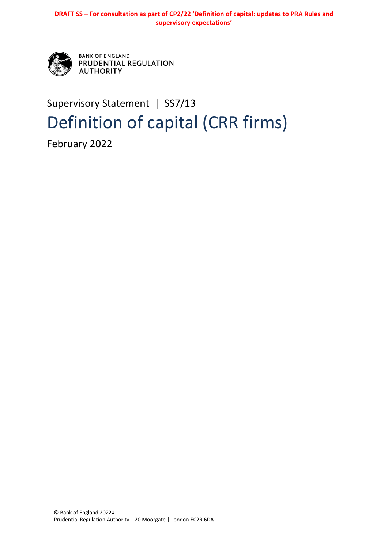

**BANK OF ENGLAND** PRUDENTIAL REGULATION **AUTHORITY** 

## Supervisory Statement | SS7/13 Definition of capital (CRR firms)

February 2022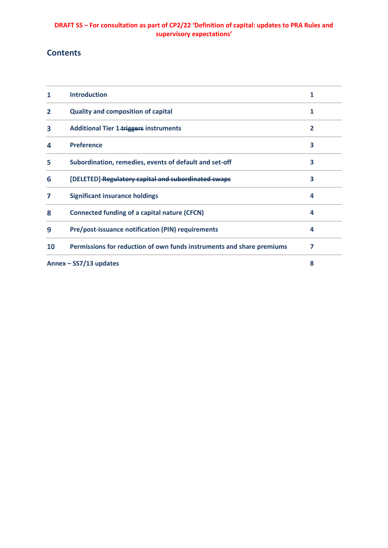## **Contents**

|                        | <b>Introduction</b>                                                   |   |
|------------------------|-----------------------------------------------------------------------|---|
| 2                      | <b>Quality and composition of capital</b>                             | 1 |
| 3                      | <b>Additional Tier 1-triggers instruments</b>                         | 2 |
| 4                      | <b>Preference</b>                                                     | 3 |
| 5                      | Subordination, remedies, events of default and set-off                | 3 |
| 6                      | [DELETED] Regulatory capital and subordinated swaps                   | 3 |
| 7                      | <b>Significant insurance holdings</b>                                 | 4 |
| 8                      | <b>Connected funding of a capital nature (CFCN)</b>                   | 4 |
| 9                      | Pre/post-issuance notification (PIN) requirements                     | 4 |
| 10                     | Permissions for reduction of own funds instruments and share premiums | 7 |
| Annex - SS7/13 updates |                                                                       | 8 |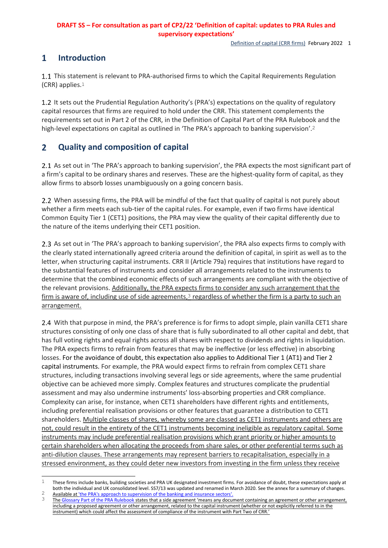Definition of capital (CRR firms) February 2022 1

#### <span id="page-3-0"></span> $\mathbf{1}$ **Introduction**

 $\overline{a}$ 

1.1 This statement is relevant to PRA-authorised firms to which the Capital Requirements Regulation (CRR) applies.1

1.2 It sets out the Prudential Regulation Authority's (PRA's) expectations on the quality of regulatory capital resources that firms are required to hold under the CRR. This statement complements the requirements set out in Part 2 of the CRR, in the Definition of Capital Part of the PRA Rulebook and the high-level expectations on capital as outlined in 'The PRA's approach to banking supervision'.<sup>2</sup>

#### <span id="page-3-1"></span> $\overline{2}$ **Quality and composition of capital**

2.1 As set out in 'The PRA's approach to banking supervision', the PRA expects the most significant part of a firm's capital to be ordinary shares and reserves. These are the highest-quality form of capital, as they allow firms to absorb losses unambiguously on a going concern basis.

2.2 When assessing firms, the PRA will be mindful of the fact that quality of capital is not purely about whether a firm meets each sub-tier of the capital rules. For example, even if two firms have identical Common Equity Tier 1 (CET1) positions, the PRA may view the quality of their capital differently due to the nature of the items underlying their CET1 position.

2.3 As set out in 'The PRA's approach to banking supervision', the PRA also expects firms to comply with the clearly stated internationally agreed criteria around the definition of capital, in spirit as well as to the letter, when structuring capital instruments. CRR II (Article 79a) requires that institutions have regard to the substantial features of instruments and consider all arrangements related to the instruments to determine that the combined economic effects of such arrangements are compliant with the objective of the relevant provisions. Additionally, the PRA expects firms to consider any such arrangement that the firm is aware of, including use of side agreements, $3$  regardless of whether the firm is a party to such an arrangement.

2.4 With that purpose in mind, the PRA's preference is for firms to adopt simple, plain vanilla CET1 share structures consisting of only one class of share that is fully subordinated to all other capital and debt, that has full voting rights and equal rights across all shares with respect to dividends and rights in liquidation. The PRA expects firms to refrain from features that may be ineffective (or less effective) in absorbing losses. For the avoidance of doubt, this expectation also applies to Additional Tier 1 (AT1) and Tier 2 capital instruments. For example, the PRA would expect firms to refrain from complex CET1 share structures, including transactions involving several legs or side agreements, where the same prudential objective can be achieved more simply. Complex features and structures complicate the prudential assessment and may also undermine instruments' loss-absorbing properties and CRR compliance. Complexity can arise, for instance, when CET1 shareholders have different rights and entitlements, including preferential realisation provisions or other features that guarantee a distribution to CET1 shareholders. Multiple classes of shares, whereby some are classed as CET1 instruments and others are not, could result in the entirety of the CET1 instruments becoming ineligible as regulatory capital. Some instruments may include preferential realisation provisions which grant priority or higher amounts to certain shareholders when allocating the proceeds from share sales, or other preferential terms such as anti-dilution clauses. These arrangements may represent barriers to recapitalisation, especially in a stressed environment, as they could deter new investors from investing in the firm unless they receive

 $1$  These firms include banks, building societies and PRA UK designated investment firms. For avoidance of doubt, these expectations apply at both the individual and UK consolidated level. SS7/13 was updated and renamed in March 2020. See the annex for a summary of changes.

<sup>2</sup> Available at 'the PRA's approach to supervision of the banking and insurance sectors'<br> $\frac{3}{100}$  The Glossary Part of the PRA Bulebook states that a side agreement 'means any docu Th[e Glossary Part of the PRA Rulebook](https://www.prarulebook.co.uk/rulebook/Glossary/FullDefinition/108318) states that a side agreement 'means any document containing an agreement or other arrangement, including a proposed agreement or other arrangement, related to the capital instrument (whether or not explicitly referred to in the instrument) which could affect the assessment of compliance of the instrument with Part Two of CRR.'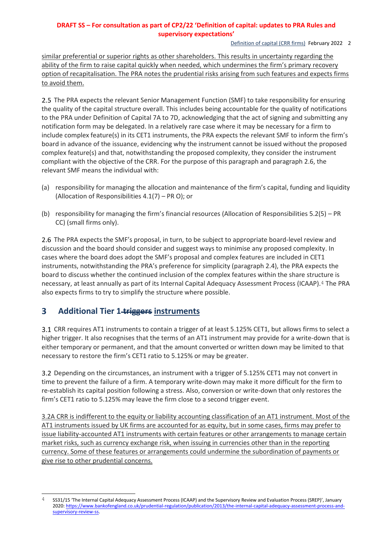Definition of capital (CRR firms) February 2022 2

similar preferential or superior rights as other shareholders. This results in uncertainty regarding the ability of the firm to raise capital quickly when needed, which undermines the firm's primary recovery option of recapitalisation. The PRA notes the prudential risks arising from such features and expects firms to avoid them.

2.5 The PRA expects the relevant Senior Management Function (SMF) to take responsibility for ensuring the quality of the capital structure overall. This includes being accountable for the quality of notifications to the PRA under Definition of Capital 7A to 7D, acknowledging that the act of signing and submitting any notification form may be delegated. In a relatively rare case where it may be necessary for a firm to include complex feature(s) in its CET1 instruments, the PRA expects the relevant SMF to inform the firm's board in advance of the issuance, evidencing why the instrument cannot be issued without the proposed complex feature(s) and that, notwithstanding the proposed complexity, they consider the instrument compliant with the objective of the CRR. For the purpose of this paragraph and paragraph 2.6, the relevant SMF means the individual with:

- (a) responsibility for managing the allocation and maintenance of the firm's capital, funding and liquidity (Allocation of Responsibilities 4.1(7) – PR O); or
- (b) responsibility for managing the firm's financial resources (Allocation of Responsibilities 5.2(5) PR CC) (small firms only).

2.6 The PRA expects the SMF's proposal, in turn, to be subject to appropriate board-level review and discussion and the board should consider and suggest ways to minimise any proposed complexity. In cases where the board does adopt the SMF's proposal and complex features are included in CET1 instruments, notwithstanding the PRA's preference for simplicity (paragraph 2.4), the PRA expects the board to discuss whether the continued inclusion of the complex features within the share structure is necessary, at least annually as part of its Internal Capital Adequacy Assessment Process (ICAAP).4 The PRA also expects firms to try to simplify the structure where possible.

#### <span id="page-4-0"></span> $\overline{\mathbf{3}}$ **Additional Tier 1 triggers instruments**

CRR requires AT1 instruments to contain a trigger of at least 5.125% CET1, but allows firms to select a higher trigger. It also recognises that the terms of an AT1 instrument may provide for a write-down that is either temporary or permanent, and that the amount converted or written down may be limited to that necessary to restore the firm's CET1 ratio to 5.125% or may be greater.

3.2 Depending on the circumstances, an instrument with a trigger of 5.125% CET1 may not convert in time to prevent the failure of a firm. A temporary write-down may make it more difficult for the firm to re-establish its capital position following a stress. Also, conversion or write-down that only restores the firm's CET1 ratio to 5.125% may leave the firm close to a second trigger event.

3.2A CRR is indifferent to the equity or liability accounting classification of an AT1 instrument. Most of the AT1 instruments issued by UK firms are accounted for as equity, but in some cases, firms may prefer to issue liability-accounted AT1 instruments with certain features or other arrangements to manage certain market risks, such as currency exchange risk, when issuing in currencies other than in the reporting currency. Some of these features or arrangements could undermine the subordination of payments or give rise to other prudential concerns.

 $\overline{A}$ 4 SS31/15 'The Internal Capital Adequacy Assessment Process (ICAAP) and the Supervisory Review and Evaluation Process (SREP)', January 2020[: https://www.bankofengland.co.uk/prudential-regulation/publication/2013/the-internal-capital-adequacy-assessment-process-and](https://www.bankofengland.co.uk/prudential-regulation/publication/2013/the-internal-capital-adequacy-assessment-process-and-supervisory-review-ss)[supervisory-review-ss.](https://www.bankofengland.co.uk/prudential-regulation/publication/2013/the-internal-capital-adequacy-assessment-process-and-supervisory-review-ss)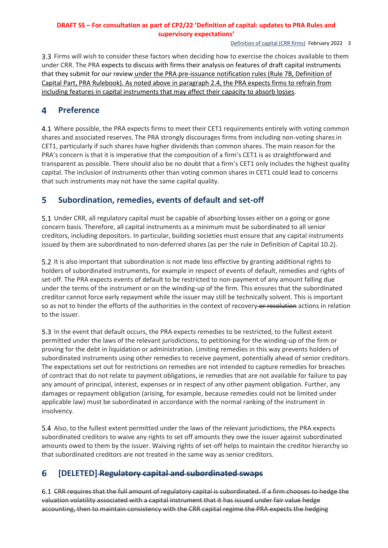Definition of capital (CRR firms) February 2022 3

Firms will wish to consider these factors when deciding how to exercise the choices available to them under CRR. The PRA expects to discuss with firms their analysis on features of draft capital instruments that they submit for our review under the PRA pre-issuance notification rules (Rule 7B, Definition of Capital Part, PRA Rulebook). As noted above in paragraph 2.4, the PRA expects firms to refrain from including features in capital instruments that may affect their capacity to absorb losses.

#### <span id="page-5-0"></span>4 **Preference**

4.1 Where possible, the PRA expects firms to meet their CET1 requirements entirely with voting common shares and associated reserves. The PRA strongly discourages firms from including non-voting shares in CET1, particularly if such shares have higher dividends than common shares. The main reason for the PRA's concern is that it is imperative that the composition of a firm's CET1 is as straightforward and transparent as possible. There should also be no doubt that a firm's CET1 only includes the highest quality capital. The inclusion of instruments other than voting common shares in CET1 could lead to concerns that such instruments may not have the same capital quality.

#### <span id="page-5-1"></span>5 **Subordination, remedies, events of default and set-off**

Under CRR, all regulatory capital must be capable of absorbing losses either on a going or gone concern basis. Therefore, all capital instruments as a minimum must be subordinated to all senior creditors, including depositors. In particular, building societies must ensure that any capital instruments issued by them are subordinated to non-deferred shares (as per the rule in Definition of Capital 10.2).

5.2 It is also important that subordination is not made less effective by granting additional rights to holders of subordinated instruments, for example in respect of events of default, remedies and rights of set-off. The PRA expects events of default to be restricted to non-payment of any amount falling due under the terms of the instrument or on the winding-up of the firm. This ensures that the subordinated creditor cannot force early repayment while the issuer may still be technically solvent. This is important so as not to hinder the efforts of the authorities in the context of recovery or resolution actions in relation to the issuer.

In the event that default occurs, the PRA expects remedies to be restricted, to the fullest extent permitted under the laws of the relevant jurisdictions, to petitioning for the winding-up of the firm or proving for the debt in liquidation or administration. Limiting remedies in this way prevents holders of subordinated instruments using other remedies to receive payment, potentially ahead of senior creditors. The expectations set out for restrictions on remedies are not intended to capture remedies for breaches of contract that do not relate to payment obligations, ie remedies that are not available for failure to pay any amount of principal, interest, expenses or in respect of any other payment obligation. Further, any damages or repayment obligation (arising, for example, because remedies could not be limited under applicable law) must be subordinated in accordance with the normal ranking of the instrument in insolvency.

Also, to the fullest extent permitted under the laws of the relevant jurisdictions, the PRA expects subordinated creditors to waive any rights to set off amounts they owe the issuer against subordinated amounts owed to them by the issuer. Waiving rights of set-off helps to maintain the creditor hierarchy so that subordinated creditors are not treated in the same way as senior creditors.

#### <span id="page-5-2"></span>6 **[DELETED] Regulatory capital and subordinated swaps**

6.1 CRR requires that the full amount of regulatory capital is subordinated. If a firm chooses to hedge the valuation volatility associated with a capital instrument that it has issued under fair value hedge accounting, then to maintain consistency with the CRR capital regime the PRA expects the hedging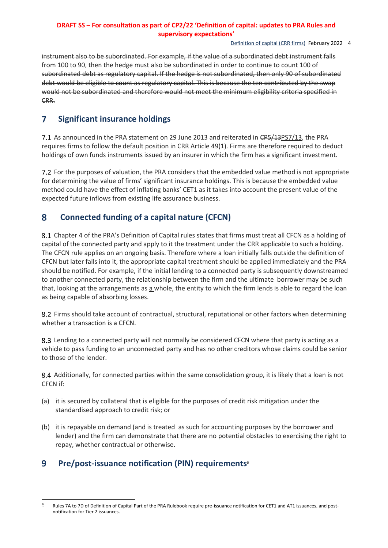#### Definition of capital (CRR firms) February 2022 4

instrument also to be subordinated. For example, if the value of a subordinated debt instrument falls from 100 to 90, then the hedge must also be subordinated in order to continue to count 100 of subordinated debt as regulatory capital. If the hedge is not subordinated, then only 90 of subordinated debt would be eligible to count as regulatory capital. This is because the ten contributed by the swap would not be subordinated and therefore would not meet the minimum eligibility criteria specified in CRR.

#### <span id="page-6-0"></span> $\overline{7}$ **Significant insurance holdings**

7.1 As announced in the PRA statement on 29 June 2013 and reiterated in CP5/13PS7/13, the PRA requires firms to follow the default position in CRR Article 49(1). Firms are therefore required to deduct holdings of own funds instruments issued by an insurer in which the firm has a significant investment.

For the purposes of valuation, the PRA considers that the embedded value method is not appropriate for determining the value of firms' significant insurance holdings. This is because the embedded value method could have the effect of inflating banks' CET1 as it takes into account the present value of the expected future inflows from existing life assurance business.

#### <span id="page-6-1"></span>8 **Connected funding of a capital nature (CFCN)**

8.1 Chapter 4 of the PRA's Definition of Capital rules states that firms must treat all CFCN as a holding of capital of the connected party and apply to it the treatment under the CRR applicable to such a holding. The CFCN rule applies on an ongoing basis. Therefore where a loan initially falls outside the definition of CFCN but later falls into it, the appropriate capital treatment should be applied immediately and the PRA should be notified. For example, if the initial lending to a connected party is subsequently downstreamed to another connected party, the relationship between the firm and the ultimate borrower may be such that, looking at the arrangements as a whole, the entity to which the firm lends is able to regard the loan as being capable of absorbing losses.

8.2 Firms should take account of contractual, structural, reputational or other factors when determining whether a transaction is a CFCN.

8.3 Lending to a connected party will not normally be considered CFCN where that party is acting as a vehicle to pass funding to an unconnected party and has no other creditors whose claims could be senior to those of the lender.

8.4 Additionally, for connected parties within the same consolidation group, it is likely that a loan is not CFCN if:

- (a) it is secured by collateral that is eligible for the purposes of credit risk mitigation under the standardised approach to credit risk; or
- (b) it is repayable on demand (and is treated as such for accounting purposes by the borrower and lender) and the firm can demonstrate that there are no potential obstacles to exercising the right to repay, whether contractual or otherwise.

#### <span id="page-6-2"></span>9 **Pre/post-issuance notification (PIN) requirements<sup>5</sup>**

<sup>5</sup> Rules 7A to 7D of Definition of Capital Part of the PRA Rulebook require pre-issuance notification for CET1 and AT1 issuances, and postnotification for Tier 2 issuances.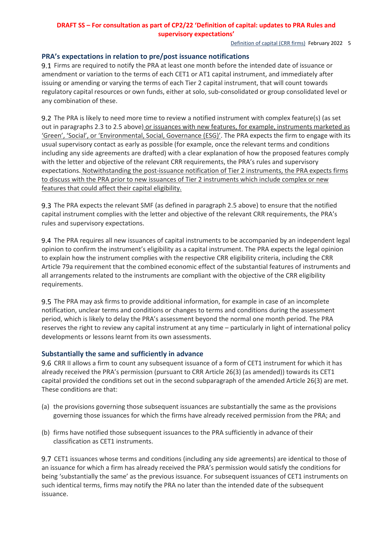#### Definition of capital (CRR firms) February 2022 5

## **PRA's expectations in relation to pre/post issuance notifications**

9.1 Firms are required to notify the PRA at least one month before the intended date of issuance or amendment or variation to the terms of each CET1 or AT1 capital instrument, and immediately after issuing or amending or varying the terms of each Tier 2 capital instrument, that will count towards regulatory capital resources or own funds, either at solo, sub-consolidated or group consolidated level or any combination of these.

9.2 The PRA is likely to need more time to review a notified instrument with complex feature(s) (as set out in paragraphs 2.3 to 2.5 above) or issuances with new features, for example, instruments marketed as 'Green', 'Social', or 'Environmental, Social, Governance (ESG)'. The PRA expects the firm to engage with its usual supervisory contact as early as possible (for example, once the relevant terms and conditions including any side agreements are drafted) with a clear explanation of how the proposed features comply with the letter and objective of the relevant CRR requirements, the PRA's rules and supervisory expectations. Notwithstanding the post-issuance notification of Tier 2 instruments, the PRA expects firms to discuss with the PRA prior to new issuances of Tier 2 instruments which include complex or new features that could affect their capital eligibility.

The PRA expects the relevant SMF (as defined in paragraph 2.5 above) to ensure that the notified capital instrument complies with the letter and objective of the relevant CRR requirements, the PRA's rules and supervisory expectations.

9.4 The PRA requires all new issuances of capital instruments to be accompanied by an independent legal opinion to confirm the instrument's eligibility as a capital instrument. The PRA expects the legal opinion to explain how the instrument complies with the respective CRR eligibility criteria, including the CRR Article 79a requirement that the combined economic effect of the substantial features of instruments and all arrangements related to the instruments are compliant with the objective of the CRR eligibility requirements.

9.5 The PRA may ask firms to provide additional information, for example in case of an incomplete notification, unclear terms and conditions or changes to terms and conditions during the assessment period, which is likely to delay the PRA's assessment beyond the normal one month period. The PRA reserves the right to review any capital instrument at any time – particularly in light of international policy developments or lessons learnt from its own assessments.

## **Substantially the same and sufficiently in advance**

9.6 CRR II allows a firm to count any subsequent issuance of a form of CET1 instrument for which it has already received the PRA's permission (pursuant to CRR Article 26(3) (as amended)) towards its CET1 capital provided the conditions set out in the second subparagraph of the amended Article 26(3) are met. These conditions are that:

- (a) the provisions governing those subsequent issuances are substantially the same as the provisions governing those issuances for which the firms have already received permission from the PRA; and
- (b) firms have notified those subsequent issuances to the PRA sufficiently in advance of their classification as CET1 instruments.

9.7 CET1 issuances whose terms and conditions (including any side agreements) are identical to those of an issuance for which a firm has already received the PRA's permission would satisfy the conditions for being 'substantially the same' as the previous issuance. For subsequent issuances of CET1 instruments on such identical terms, firms may notify the PRA no later than the intended date of the subsequent issuance.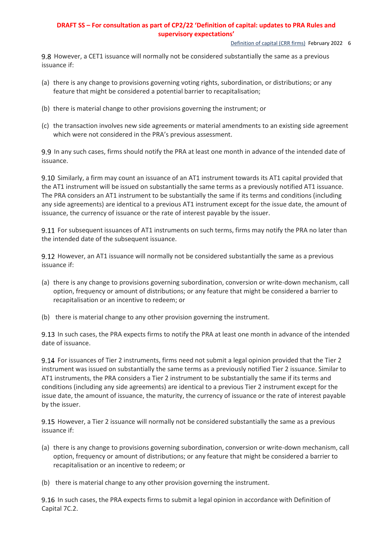#### Definition of capital (CRR firms) February 2022 6

9.8 However, a CET1 issuance will normally not be considered substantially the same as a previous issuance if:

- (a) there is any change to provisions governing voting rights, subordination, or distributions; or any feature that might be considered a potential barrier to recapitalisation;
- (b) there is material change to other provisions governing the instrument; or
- (c) the transaction involves new side agreements or material amendments to an existing side agreement which were not considered in the PRA's previous assessment.

9.9 In any such cases, firms should notify the PRA at least one month in advance of the intended date of issuance.

9.10 Similarly, a firm may count an issuance of an AT1 instrument towards its AT1 capital provided that the AT1 instrument will be issued on substantially the same terms as a previously notified AT1 issuance. The PRA considers an AT1 instrument to be substantially the same if its terms and conditions (including any side agreements) are identical to a previous AT1 instrument except for the issue date, the amount of issuance, the currency of issuance or the rate of interest payable by the issuer.

9.11 For subsequent issuances of AT1 instruments on such terms, firms may notify the PRA no later than the intended date of the subsequent issuance.

9.12 However, an AT1 issuance will normally not be considered substantially the same as a previous issuance if:

- (a) there is any change to provisions governing subordination, conversion or write-down mechanism, call option, frequency or amount of distributions; or any feature that might be considered a barrier to recapitalisation or an incentive to redeem; or
- (b) there is material change to any other provision governing the instrument.

9.13 In such cases, the PRA expects firms to notify the PRA at least one month in advance of the intended date of issuance.

9.14 For issuances of Tier 2 instruments, firms need not submit a legal opinion provided that the Tier 2 instrument was issued on substantially the same terms as a previously notified Tier 2 issuance. Similar to AT1 instruments, the PRA considers a Tier 2 instrument to be substantially the same if its terms and conditions (including any side agreements) are identical to a previous Tier 2 instrument except for the issue date, the amount of issuance, the maturity, the currency of issuance or the rate of interest payable by the issuer.

9.15 However, a Tier 2 issuance will normally not be considered substantially the same as a previous issuance if:

- (a) there is any change to provisions governing subordination, conversion or write-down mechanism, call option, frequency or amount of distributions; or any feature that might be considered a barrier to recapitalisation or an incentive to redeem; or
- (b) there is material change to any other provision governing the instrument.

9.16 In such cases, the PRA expects firms to submit a legal opinion in accordance with Definition of Capital 7C.2.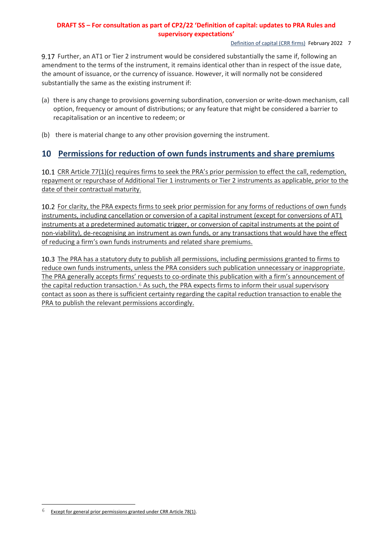Definition of capital (CRR firms) February 2022 7

Further, an AT1 or Tier 2 instrument would be considered substantially the same if, following an amendment to the terms of the instrument, it remains identical other than in respect of the issue date, the amount of issuance, or the currency of issuance. However, it will normally not be considered substantially the same as the existing instrument if:

- (a) there is any change to provisions governing subordination, conversion or write-down mechanism, call option, frequency or amount of distributions; or any feature that might be considered a barrier to recapitalisation or an incentive to redeem; or
- (b) there is material change to any other provision governing the instrument.

## <span id="page-9-0"></span>**Permissions for reduction of own funds instruments and share premiums**

10.1 CRR Article 77(1)(c) requires firms to seek the PRA's prior permission to effect the call, redemption, repayment or repurchase of Additional Tier 1 instruments or Tier 2 instruments as applicable, prior to the date of their contractual maturity.

10.2 For clarity, the PRA expects firms to seek prior permission for any forms of reductions of own funds instruments, including cancellation or conversion of a capital instrument (except for conversions of AT1 instruments at a predetermined automatic trigger, or conversion of capital instruments at the point of non-viability), de-recognising an instrument as own funds, or any transactions that would have the effect of reducing a firm's own funds instruments and related share premiums.

10.3 The PRA has a statutory duty to publish all permissions, including permissions granted to firms to reduce own funds instruments, unless the PRA considers such publication unnecessary or inappropriate. The PRA generally accepts firms' requests to co-ordinate this publication with a firm's announcement of the capital reduction transaction.<sup>6</sup> As such, the PRA expects firms to inform their usual supervisory contact as soon as there is sufficient certainty regarding the capital reduction transaction to enable the PRA to publish the relevant permissions accordingly.

l

 $6$  Except for general prior permissions granted under CRR Article 78(1).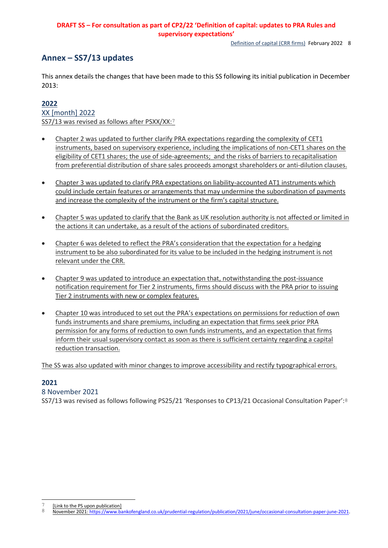Definition of capital (CRR firms) February 2022 8

## <span id="page-10-0"></span>**Annex – SS7/13 updates**

This annex details the changes that have been made to this SS following its initial publication in December 2013:

## **2022**

XX [month] 2022 SS7/13 was revised as follows after PSXX/XX:7

- Chapter 2 was updated to further clarify PRA expectations regarding the complexity of CET1 instruments, based on supervisory experience, including the implications of non-CET1 shares on the eligibility of CET1 shares; the use of side-agreements; and the risks of barriers to recapitalisation from preferential distribution of share sales proceeds amongst shareholders or anti-dilution clauses.
- Chapter 3 was updated to clarify PRA expectations on liability-accounted AT1 instruments which could include certain features or arrangements that may undermine the subordination of payments and increase the complexity of the instrument or the firm's capital structure.
- Chapter 5 was updated to clarify that the Bank as UK resolution authority is not affected or limited in the actions it can undertake, as a result of the actions of subordinated creditors.
- Chapter 6 was deleted to reflect the PRA's consideration that the expectation for a hedging instrument to be also subordinated for its value to be included in the hedging instrument is not relevant under the CRR.
- Chapter 9 was updated to introduce an expectation that, notwithstanding the post-issuance notification requirement for Tier 2 instruments, firms should discuss with the PRA prior to issuing Tier 2 instruments with new or complex features.
- Chapter 10 was introduced to set out the PRA's expectations on permissions for reduction of own funds instruments and share premiums, including an expectation that firms seek prior PRA permission for any forms of reduction to own funds instruments, and an expectation that firms inform their usual supervisory contact as soon as there is sufficient certainty regarding a capital reduction transaction.

The SS was also updated with minor changes to improve accessibility and rectify typographical errors.

## **2021**

 $\overline{a}$ 

8 November 2021

SS7/13 was revised as follows following PS25/21 'Responses to CP13/21 Occasional Consultation Paper':8

 $\frac{7}{8}$  [Link to the PS upon publication]

<sup>8</sup> November 2021[: https://www.bankofengland.co.uk/prudential-regulation/publication/2021/june/occasional-consultation-paper-june-2021.](https://www.bankofengland.co.uk/prudential-regulation/publication/2021/june/occasional-consultation-paper-june-2021)